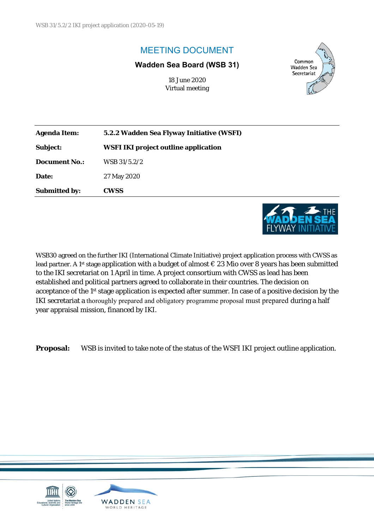# MEETING DOCUMENT

#### **Wadden Sea Board (WSB 31)**

18 June 2020 Virtual meeting



| <b>Agenda Item:</b>  | 5.2.2 Wadden Sea Flyway Initiative (WSFI)   |  |
|----------------------|---------------------------------------------|--|
| <b>Subject:</b>      | <b>WSFI IKI project outline application</b> |  |
| <b>Document No.:</b> | WSB 31/5.2/2                                |  |
| Date:                | 27 May 2020                                 |  |
| <b>Submitted by:</b> | <b>CWSS</b>                                 |  |
|                      |                                             |  |



WSB30 agreed on the further IKI (International Climate Initiative) project application process with CWSS as lead partner. A 1<sup>st</sup> stage application with a budget of almost  $\epsilon$  23 Mio over 8 years has been submitted to the IKI secretariat on 1 April in time. A project consortium with CWSS as lead has been established and political partners agreed to collaborate in their countries. The decision on acceptance of the 1st stage application is expected after summer. In case of a positive decision by the IKI secretariat a thoroughly prepared and obligatory programme proposal must prepared during a half year appraisal mission, financed by IKI.

**Proposal:** WSB is invited to take note of the status of the WSFI IKI project outline application.

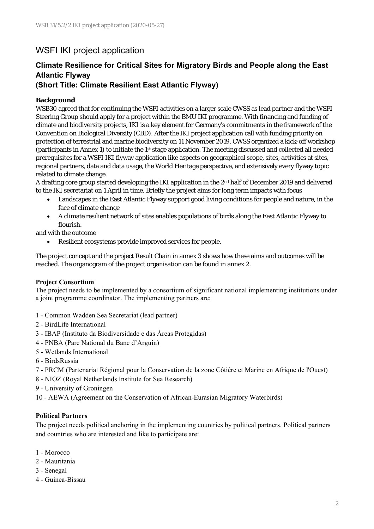## WSFI IKI project application

### **Climate Resilience for Critical Sites for Migratory Birds and People along the East Atlantic Flyway**

### **(Short Title: Climate Resilient East Atlantic Flyway)**

#### **Background**

WSB30 agreed that for continuing the WSFI activities on a larger scale CWSS as lead partner and the WSFI Steering Group should apply for a project within the BMU IKI programme. With financing and funding of climate and biodiversity projects, IKI is a key element for Germany's commitments in the framework of the Convention on Biological Diversity (CBD). After the IKI project application call with funding priority on protection of terrestrial and marine biodiversity on 11 November 2019, CWSS organized a kick-off workshop (participants in Annex 1) to initiate the 1st stage application. The meeting discussed and collected all needed prerequisites for a WSFI IKI flyway application like aspects on geographical scope, sites, activities at sites, regional partners, data and data usage, the World Heritage perspective, and extensively every flyway topic related to climate change.

A drafting core group started developing the IKI application in the 2nd half of December 2019 and delivered to the IKI secretariat on 1 April in time. Briefly the project aims for long term impacts with focus

- Landscapes in the East Atlantic Flyway support good living conditions for people and nature, in the face of climate change
- A climate resilient network of sites enables populations of birds along the East Atlantic Flyway to flourish.

and with the outcome

Resilient ecosystems provide improved services for people.

The project concept and the project Result Chain in annex 3 shows how these aims and outcomes will be reached. The organogram of the project organisation can be found in annex 2.

#### **Project Consortium**

The project needs to be implemented by a consortium of significant national implementing institutions under a joint programme coordinator. The implementing partners are:

- 1 Common Wadden Sea Secretariat (lead partner)
- 2 BirdLife International
- 3 IBAP (Instituto da Biodiversidade e das Áreas Protegidas)
- 4 PNBA (Parc National du Banc d'Arguin)
- 5 Wetlands International
- 6 BirdsRussia
- 7 PRCM (Partenariat Régional pour la Conservation de la zone Côtière et Marine en Afrique de l'Ouest)
- 8 NIOZ (Royal Netherlands Institute for Sea Research)
- 9 University of Groningen
- 10 AEWA (Agreement on the Conservation of African-Eurasian Migratory Waterbirds)

#### **Political Partners**

The project needs political anchoring in the implementing countries by political partners. Political partners and countries who are interested and like to participate are:

- 1 Morocco
- 2 Mauritania
- 3 Senegal
- 4 Guinea-Bissau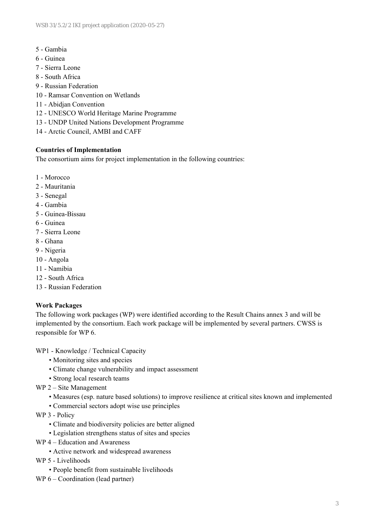- 5 Gambia
- 6 Guinea
- 7 Sierra Leone
- 8 South Africa
- 9 Russian Federation
- 10 Ramsar Convention on Wetlands
- 11 Abidjan Convention
- 12 UNESCO World Heritage Marine Programme
- 13 UNDP United Nations Development Programme
- 14 Arctic Council, AMBI and CAFF

#### **Countries of Implementation**

The consortium aims for project implementation in the following countries:

- 1 Morocco
- 2 Mauritania
- 3 Senegal
- 4 Gambia
- 5 Guinea-Bissau
- 6 Guinea
- 7 Sierra Leone
- 8 Ghana
- 9 Nigeria
- 10 Angola
- 11 Namibia
- 12 South Africa
- 13 Russian Federation

#### **Work Packages**

The following work packages (WP) were identified according to the Result Chains annex 3 and will be implemented by the consortium. Each work package will be implemented by several partners. CWSS is responsible for WP 6.

WP1 - Knowledge / Technical Capacity

- Monitoring sites and species
- Climate change vulnerability and impact assessment
- Strong local research teams
- WP 2 Site Management
	- Measures (esp. nature based solutions) to improve resilience at critical sites known and implemented
	- Commercial sectors adopt wise use principles
- WP 3 Policy
	- Climate and biodiversity policies are better aligned
	- Legislation strengthens status of sites and species
- WP 4 Education and Awareness
	- Active network and widespread awareness

WP 5 - Livelihoods

- People benefit from sustainable livelihoods
- WP 6 Coordination (lead partner)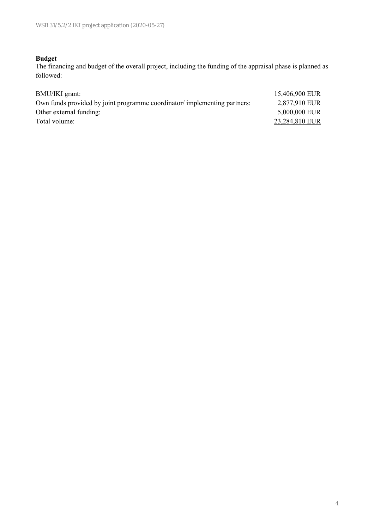#### **Budget**

The financing and budget of the overall project, including the funding of the appraisal phase is planned as followed:

| BMU/IKI grant:                                                           | 15,406,900 EUR |
|--------------------------------------------------------------------------|----------------|
| Own funds provided by joint programme coordinator/implementing partners: | 2,877,910 EUR  |
| Other external funding:                                                  | 5,000,000 EUR  |
| Total volume:                                                            | 23,284,810 EUR |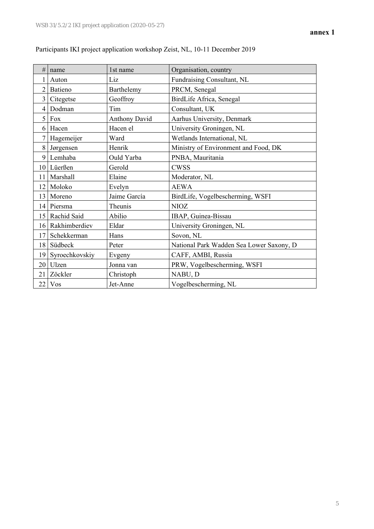| #               | name              | 1st name             | Organisation, country                    |
|-----------------|-------------------|----------------------|------------------------------------------|
|                 | Auton             | Liz                  | Fundraising Consultant, NL               |
| $\overline{2}$  | Batieno           | Barthelemy           | PRCM, Senegal                            |
| $\overline{3}$  | Citegetse         | Geoffroy             | BirdLife Africa, Senegal                 |
| 4               | Dodman            | Tim                  | Consultant, UK                           |
| 5               | Fox               | <b>Anthony David</b> | Aarhus University, Denmark               |
| 6               | Hacen             | Hacen el             | University Groningen, NL                 |
| 7               | Hagemeijer        | Ward                 | Wetlands International, NL               |
|                 | 8 Jørgensen       | Henrik               | Ministry of Environment and Food, DK     |
| 9               | Lemhaba           | Ould Yarba           | PNBA, Mauritania                         |
|                 | 10 Lüerßen        | Gerold               | <b>CWSS</b>                              |
| 11              | Marshall          | Elaine               | Moderator, NL                            |
| 12              | Moloko            | Evelyn               | <b>AEWA</b>                              |
| 13 <sup>1</sup> | Moreno            | Jaime García         | BirdLife, Vogelbescherming, WSFI         |
| 14              | Piersma           | Theunis              | <b>NIOZ</b>                              |
| 15 <sup>1</sup> | Rachid Said       | Abilio               | IBAP, Guinea-Bissau                      |
| 16 <sup>1</sup> | Rakhimberdiev     | Eldar                | University Groningen, NL                 |
| 17              | Schekkerman       | Hans                 | Sovon, NL                                |
| 18              | Südbeck           | Peter                | National Park Wadden Sea Lower Saxony, D |
|                 | 19 Syroechkovskiy | Evgeny               | CAFF, AMBI, Russia                       |
| 20              | Ulzen             | Jonna van            | PRW, Vogelbescherming, WSFI              |
| 21              | Zöckler           | Christoph            | NABU, D                                  |
|                 | $22$ Vos          | Jet-Anne             | Vogelbescherming, NL                     |

### Participants IKI project application workshop Zeist, NL, 10-11 December 2019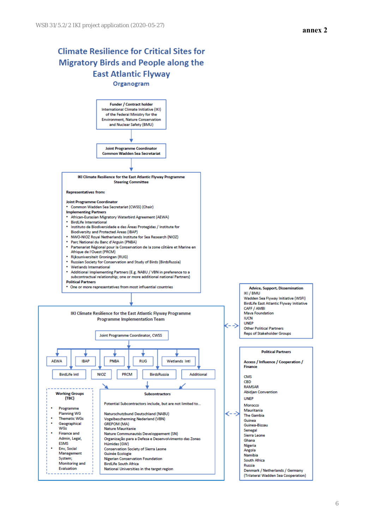# **Climate Resilience for Critical Sites for Migratory Birds and People along the East Atlantic Flyway**

Organogram